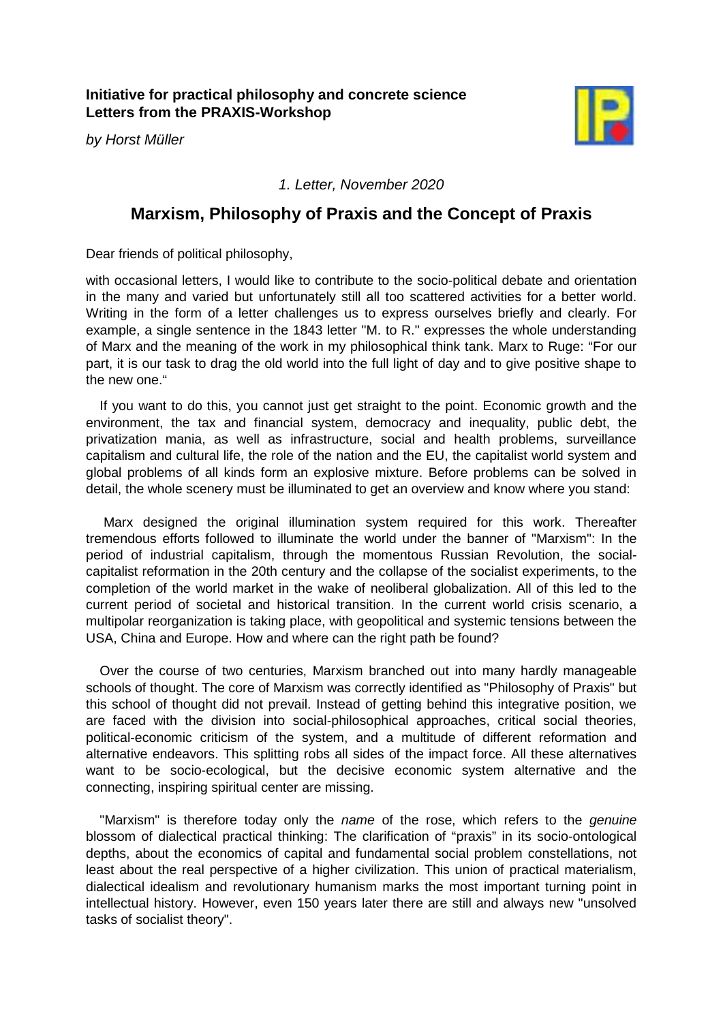**Initiative for practical philosophy and concrete science Letters from the PRAXIS-Workshop**

*by Horst Müller*



*1. Letter, November 2020*

## **Marxism, Philosophy of Praxis and the Concept of Praxis**

Dear friends of political philosophy,

with occasional letters, I would like to contribute to the socio-political debate and orientation in the many and varied but unfortunately still all too scattered activities for a better world. Writing in the form of a letter challenges us to express ourselves briefly and clearly. For example, a single sentence in the 1843 letter "M. to R." expresses the whole understanding of Marx and the meaning of the work in my philosophical think tank. Marx to Ruge: "For our part, it is our task to drag the old world into the full light of day and to give positive shape to the new one."

If you want to do this, you cannot just get straight to the point. Economic growth and the environment, the tax and financial system, democracy and inequality, public debt, the privatization mania, as well as infrastructure, social and health problems, surveillance capitalism and cultural life, the role of the nation and the EU, the capitalist world system and global problems of all kinds form an explosive mixture. Before problems can be solved in detail, the whole scenery must be illuminated to get an overview and know where you stand:

Marx designed the original illumination system required for this work. Thereafter tremendous efforts followed to illuminate the world under the banner of "Marxism": In the period of industrial capitalism, through the momentous Russian Revolution, the socialcapitalist reformation in the 20th century and the collapse of the socialist experiments, to the completion of the world market in the wake of neoliberal globalization. All of this led to the current period of societal and historical transition. In the current world crisis scenario, a multipolar reorganization is taking place, with geopolitical and systemic tensions between the USA, China and Europe. How and where can the right path be found?

Over the course of two centuries, Marxism branched out into many hardly manageable schools of thought. The core of Marxism was correctly identified as "Philosophy of Praxis" but this school of thought did not prevail. Instead of getting behind this integrative position, we are faced with the division into social-philosophical approaches, critical social theories, political-economic criticism of the system, and a multitude of different reformation and alternative endeavors. This splitting robs all sides of the impact force. All these alternatives want to be socio-ecological, but the decisive economic system alternative and the connecting, inspiring spiritual center are missing.

"Marxism" is therefore today only the *name* of the rose, which refers to the *genuine* blossom of dialectical practical thinking: The clarification of "praxis" in its socio-ontological depths, about the economics of capital and fundamental social problem constellations, not least about the real perspective of a higher civilization. This union of practical materialism, dialectical idealism and revolutionary humanism marks the most important turning point in intellectual history. However, even 150 years later there are still and always new "unsolved tasks of socialist theory".